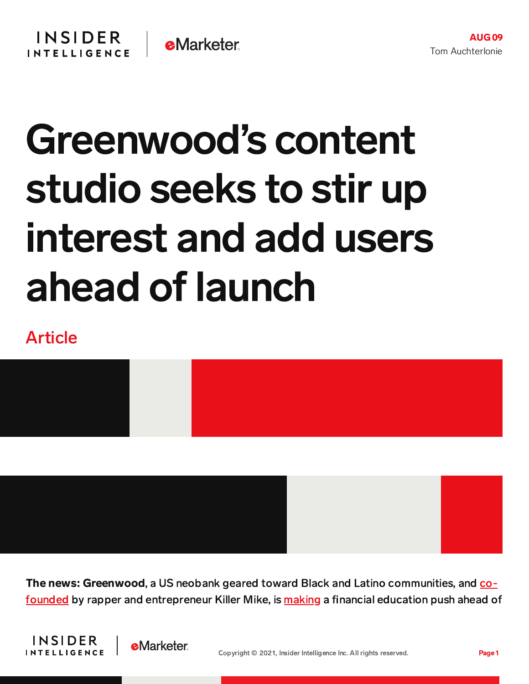## Greenwood's content studio seeks to stir up interest and add users ahead of launch

## Article



The news: Greenwood, a US neobank geared toward Black and Latino [communities,](https://www.fastcompany.com/90662391/americas-financial-institutions-have-failed-black-and-brown-communities-killer-mike-has-a-solution) and cofounded by rapper and entrepreneur Killer Mike, is [making](https://www.businesswire.com/news/home/20210805005236/en/Greenwood-Launches-Greenwood-Studio-to-Produce-Finance-and-Business-Shows-and-Podcasts-for-Black-and-Latino-Audience) a financial education push ahead of



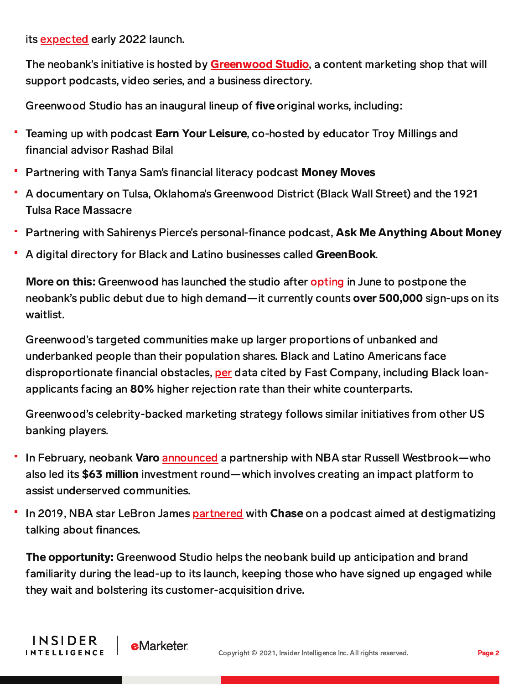its [expected](https://www.cnn.com/2021/06/24/business/greenwood-killer-mike-delayed/index.html) early 2022 launch.

The neobank's initiative is hosted by **[Greenwood](https://www.businesswire.com/news/home/20210805005236/en/Greenwood-Launches-Greenwood-Studio-to-Produce-Finance-and-Business-Shows-and-Podcasts-for-Black-and-Latino-Audience) Studio**, a content marketing shop that will support podcasts, video series, and a business directory.

Greenwood Studio has an inaugural lineup of five original works, including:

- Teaming up with podcast Earn Your Leisure, co-hosted by educator Troy Millings and financial advisor Rashad Bilal
- Partnering with Tanya Sam's financial literacy podcast Money Moves
- A documentary on Tulsa, Oklahoma's Greenwood District (Black Wall Street) and the 1921 Tulsa Race Massacre
- Partnering with Sahirenys Pierce's personal-finance podcast, Ask Me Anything About Money
- A digital directory for Black and Latino businesses called GreenBook.

More on this: Greenwood has launched the studio after [opting](https://www.cnn.com/2021/06/24/business/greenwood-killer-mike-delayed/index.html) in June to postpone the neobank's public debut due to high demand—it currently counts over 500,000 sign-ups on its waitlist.

Greenwood's targeted communities make up larger proportions of unbanked and underbanked people than their population shares. Black and Latino Americans face disproportionate financial obstacles, [per](https://www.fastcompany.com/90662391/americas-financial-institutions-have-failed-black-and-brown-communities-killer-mike-has-a-solution) data cited by Fast Company, including Black loanapplicants facing an 80% higher rejection rate than their white counterparts.

Greenwood's celebrity-backed marketing strategy follows similar initiatives from other US banking players.

- In February, neobank Varo [announced](https://www.varomoney.com/press_release/nba-mvp-russell-westbrook-leads-63-million-strategic-investment-in-varo-bank/) a partnership with NBA star Russell Westbrook—who also led its \$63 million investment round—which involves creating an impact platform to assist underserved communities.
- In 2019, NBA star LeBron James [partnered](https://www.fastcompany.com/90335279/lebron-james-and-maverick-carter-want-to-destigmatize-talking-about-money) with Chase on a podcast aimed at destigmatizing talking about finances.

The opportunity: Greenwood Studio helps the neobank build up anticipation and brand familiarity during the lead-up to its launch, keeping those who have signed up engaged while they wait and bolstering its customer-acquisition drive.